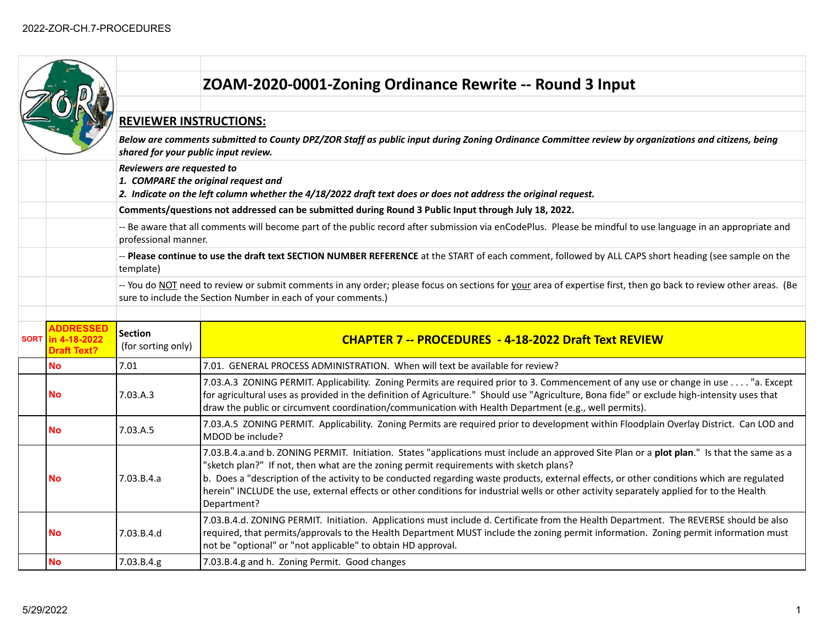|  |                                                               |                                                                                                                                                                                                                                   | ZOAM-2020-0001-Zoning Ordinance Rewrite -- Round 3 Input                                                                                                                                                                                                                                                                                                                                                                                                                                                                                        |  |  |
|--|---------------------------------------------------------------|-----------------------------------------------------------------------------------------------------------------------------------------------------------------------------------------------------------------------------------|-------------------------------------------------------------------------------------------------------------------------------------------------------------------------------------------------------------------------------------------------------------------------------------------------------------------------------------------------------------------------------------------------------------------------------------------------------------------------------------------------------------------------------------------------|--|--|
|  |                                                               |                                                                                                                                                                                                                                   |                                                                                                                                                                                                                                                                                                                                                                                                                                                                                                                                                 |  |  |
|  |                                                               | <b>REVIEWER INSTRUCTIONS:</b>                                                                                                                                                                                                     |                                                                                                                                                                                                                                                                                                                                                                                                                                                                                                                                                 |  |  |
|  |                                                               | Below are comments submitted to County DPZ/ZOR Staff as public input during Zoning Ordinance Committee review by organizations and citizens, being<br>shared for your public input review.                                        |                                                                                                                                                                                                                                                                                                                                                                                                                                                                                                                                                 |  |  |
|  |                                                               | Reviewers are requested to<br>1. COMPARE the original request and<br>2. Indicate on the left column whether the 4/18/2022 draft text does or does not address the original request.                                               |                                                                                                                                                                                                                                                                                                                                                                                                                                                                                                                                                 |  |  |
|  |                                                               | Comments/questions not addressed can be submitted during Round 3 Public Input through July 18, 2022.                                                                                                                              |                                                                                                                                                                                                                                                                                                                                                                                                                                                                                                                                                 |  |  |
|  |                                                               | -- Be aware that all comments will become part of the public record after submission via enCodePlus. Please be mindful to use language in an appropriate and<br>professional manner.                                              |                                                                                                                                                                                                                                                                                                                                                                                                                                                                                                                                                 |  |  |
|  |                                                               | -- Please continue to use the draft text SECTION NUMBER REFERENCE at the START of each comment, followed by ALL CAPS short heading (see sample on the<br>template)                                                                |                                                                                                                                                                                                                                                                                                                                                                                                                                                                                                                                                 |  |  |
|  |                                                               | -- You do NOT need to review or submit comments in any order; please focus on sections for your area of expertise first, then go back to review other areas. (Be<br>sure to include the Section Number in each of your comments.) |                                                                                                                                                                                                                                                                                                                                                                                                                                                                                                                                                 |  |  |
|  |                                                               |                                                                                                                                                                                                                                   |                                                                                                                                                                                                                                                                                                                                                                                                                                                                                                                                                 |  |  |
|  |                                                               |                                                                                                                                                                                                                                   |                                                                                                                                                                                                                                                                                                                                                                                                                                                                                                                                                 |  |  |
|  | <b>ADDRESSED</b><br>SORT   in 4-18-2022<br><b>Draft Text?</b> | <b>Section</b><br>(for sorting only)                                                                                                                                                                                              | <b>CHAPTER 7 -- PROCEDURES - 4-18-2022 Draft Text REVIEW</b>                                                                                                                                                                                                                                                                                                                                                                                                                                                                                    |  |  |
|  | <b>No</b>                                                     | 7.01                                                                                                                                                                                                                              | 7.01. GENERAL PROCESS ADMINISTRATION. When will text be available for review?                                                                                                                                                                                                                                                                                                                                                                                                                                                                   |  |  |
|  | No                                                            | 7.03.A.3                                                                                                                                                                                                                          | 7.03.A.3 ZONING PERMIT. Applicability. Zoning Permits are required prior to 3. Commencement of any use or change in use "a. Except<br>for agricultural uses as provided in the definition of Agriculture." Should use "Agriculture, Bona fide" or exclude high-intensity uses that<br>draw the public or circumvent coordination/communication with Health Department (e.g., well permits).                                                                                                                                                     |  |  |
|  | <b>No</b>                                                     | 7.03.A.5                                                                                                                                                                                                                          | 7.03.A.5 ZONING PERMIT. Applicability. Zoning Permits are required prior to development within Floodplain Overlay District. Can LOD and<br>MDOD be include?                                                                                                                                                                                                                                                                                                                                                                                     |  |  |
|  | No                                                            | 7.03.B.4.a                                                                                                                                                                                                                        | 7.03.B.4.a.and b. ZONING PERMIT. Initiation. States "applications must include an approved Site Plan or a plot plan." Is that the same as a<br>"sketch plan?" If not, then what are the zoning permit requirements with sketch plans?<br>b. Does a "description of the activity to be conducted regarding waste products, external effects, or other conditions which are regulated<br>herein" INCLUDE the use, external effects or other conditions for industrial wells or other activity separately applied for to the Health<br>Department? |  |  |
|  | No                                                            | 7.03.B.4.d                                                                                                                                                                                                                        | 7.03.B.4.d. ZONING PERMIT. Initiation. Applications must include d. Certificate from the Health Department. The REVERSE should be also<br>required, that permits/approvals to the Health Department MUST include the zoning permit information. Zoning permit information must<br>not be "optional" or "not applicable" to obtain HD approval.                                                                                                                                                                                                  |  |  |
|  | No                                                            | 7.03.B.4.g                                                                                                                                                                                                                        | 7.03.B.4.g and h. Zoning Permit. Good changes                                                                                                                                                                                                                                                                                                                                                                                                                                                                                                   |  |  |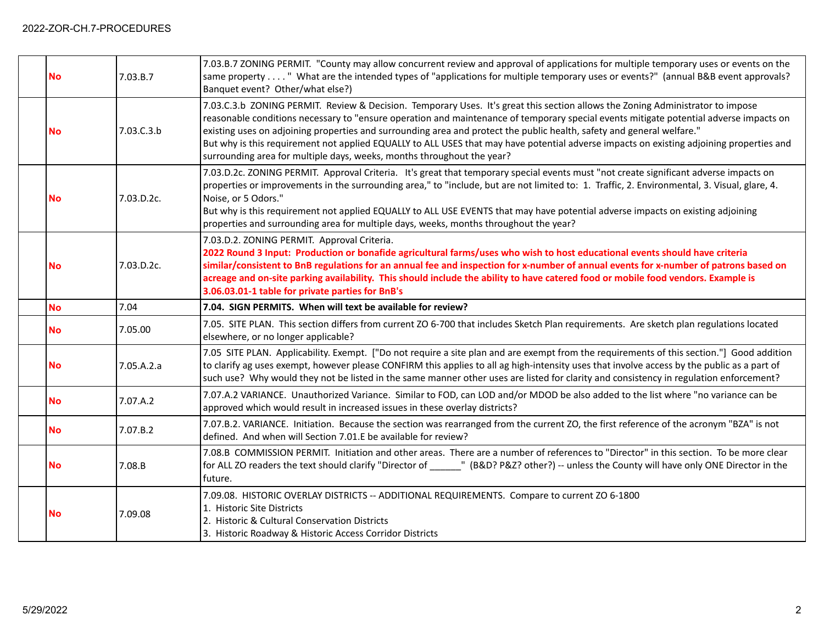| <b>No</b> | 7.03.B.7   | 7.03.B.7 ZONING PERMIT. "County may allow concurrent review and approval of applications for multiple temporary uses or events on the<br>same property " What are the intended types of "applications for multiple temporary uses or events?" (annual B&B event approvals?<br>Banquet event? Other/what else?)                                                                                                                                                                                                                                                                                                           |
|-----------|------------|--------------------------------------------------------------------------------------------------------------------------------------------------------------------------------------------------------------------------------------------------------------------------------------------------------------------------------------------------------------------------------------------------------------------------------------------------------------------------------------------------------------------------------------------------------------------------------------------------------------------------|
| <b>No</b> | 7.03.C.3.b | 7.03.C.3.b ZONING PERMIT. Review & Decision. Temporary Uses. It's great this section allows the Zoning Administrator to impose<br>reasonable conditions necessary to "ensure operation and maintenance of temporary special events mitigate potential adverse impacts on<br>existing uses on adjoining properties and surrounding area and protect the public health, safety and general welfare."<br>But why is this requirement not applied EQUALLY to ALL USES that may have potential adverse impacts on existing adjoining properties and<br>surrounding area for multiple days, weeks, months throughout the year? |
| <b>No</b> | 7.03.D.2c. | 7.03.D.2c. ZONING PERMIT. Approval Criteria. It's great that temporary special events must "not create significant adverse impacts on<br>properties or improvements in the surrounding area," to "include, but are not limited to: 1. Traffic, 2. Environmental, 3. Visual, glare, 4.<br>Noise, or 5 Odors."<br>But why is this requirement not applied EQUALLY to ALL USE EVENTS that may have potential adverse impacts on existing adjoining<br>properties and surrounding area for multiple days, weeks, months throughout the year?                                                                                 |
| <b>No</b> | 7.03.D.2c. | 7.03.D.2. ZONING PERMIT. Approval Criteria.<br>2022 Round 3 Input: Production or bonafide agricultural farms/uses who wish to host educational events should have criteria<br>similar/consistent to BnB regulations for an annual fee and inspection for x-number of annual events for x-number of patrons based on<br>acreage and on-site parking availability. This should include the ability to have catered food or mobile food vendors. Example is<br>3.06.03.01-1 table for private parties for BnB's                                                                                                             |
|           |            |                                                                                                                                                                                                                                                                                                                                                                                                                                                                                                                                                                                                                          |
| <b>No</b> | 7.04       | 7.04. SIGN PERMITS. When will text be available for review?                                                                                                                                                                                                                                                                                                                                                                                                                                                                                                                                                              |
| <b>No</b> | 7.05.00    | 7.05. SITE PLAN. This section differs from current ZO 6-700 that includes Sketch Plan requirements. Are sketch plan regulations located<br>elsewhere, or no longer applicable?                                                                                                                                                                                                                                                                                                                                                                                                                                           |
| <b>No</b> | 7.05.A.2.a | 7.05 SITE PLAN. Applicability. Exempt. ["Do not require a site plan and are exempt from the requirements of this section."] Good addition<br>to clarify ag uses exempt, however please CONFIRM this applies to all ag high-intensity uses that involve access by the public as a part of<br>such use? Why would they not be listed in the same manner other uses are listed for clarity and consistency in regulation enforcement?                                                                                                                                                                                       |
| <b>No</b> | 7.07.A.2   | 7.07.A.2 VARIANCE. Unauthorized Variance. Similar to FOD, can LOD and/or MDOD be also added to the list where "no variance can be<br>approved which would result in increased issues in these overlay districts?                                                                                                                                                                                                                                                                                                                                                                                                         |
| <b>No</b> | 7.07.B.2   | 7.07.B.2. VARIANCE. Initiation. Because the section was rearranged from the current ZO, the first reference of the acronym "BZA" is not<br>defined. And when will Section 7.01.E be available for review?                                                                                                                                                                                                                                                                                                                                                                                                                |
| <b>No</b> | 7.08.B     | 7.08.B COMMISSION PERMIT. Initiation and other areas. There are a number of references to "Director" in this section. To be more clear<br>for ALL ZO readers the text should clarify "Director of ______" (B&D? P&Z? other?) -- unless the County will have only ONE Director in the<br>future.                                                                                                                                                                                                                                                                                                                          |